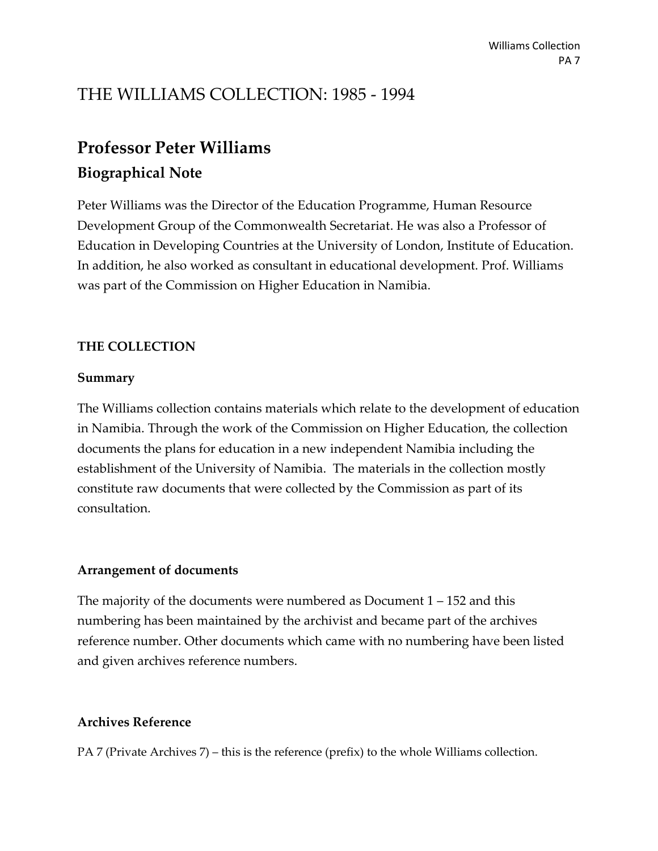# THE WILLIAMS COLLECTION: 1985 - 1994

# **Professor Peter Williams**

# **Biographical Note**

Peter Williams was the Director of the Education Programme, Human Resource Development Group of the Commonwealth Secretariat. He was also a Professor of Education in Developing Countries at the University of London, Institute of Education. In addition, he also worked as consultant in educational development. Prof. Williams was part of the Commission on Higher Education in Namibia.

# **THE COLLECTION**

## **Summary**

The Williams collection contains materials which relate to the development of education in Namibia. Through the work of the Commission on Higher Education, the collection documents the plans for education in a new independent Namibia including the establishment of the University of Namibia. The materials in the collection mostly constitute raw documents that were collected by the Commission as part of its consultation.

# **Arrangement of documents**

The majority of the documents were numbered as Document 1 – 152 and this numbering has been maintained by the archivist and became part of the archives reference number. Other documents which came with no numbering have been listed and given archives reference numbers.

# **Archives Reference**

PA 7 (Private Archives 7) – this is the reference (prefix) to the whole Williams collection.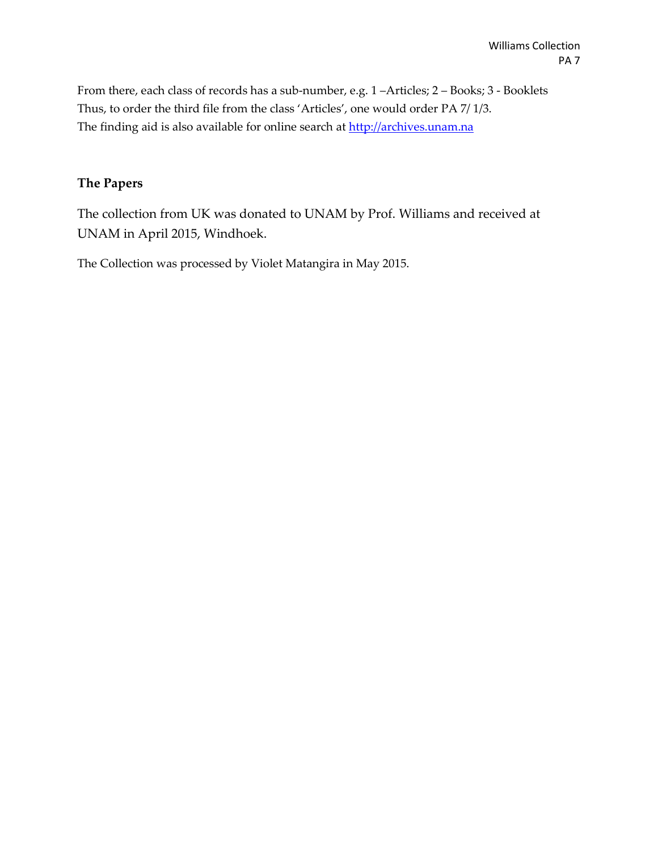From there, each class of records has a sub-number, e.g. 1 –Articles; 2 – Books; 3 - Booklets Thus, to order the third file from the class 'Articles', one would order PA 7/ 1/3. The finding aid is also available for online search a[t http://archives.unam.na](http://archives.unam.na/)

## **The Papers**

The collection from UK was donated to UNAM by Prof. Williams and received at UNAM in April 2015, Windhoek.

The Collection was processed by Violet Matangira in May 2015.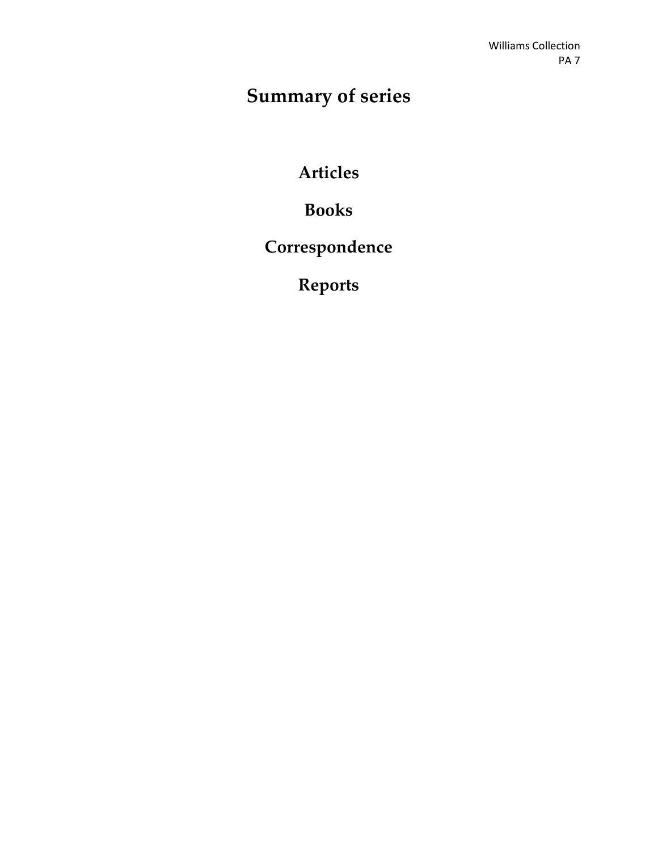# **Summary of series**

**Articles**

**Books**

**Correspondence**

**Reports**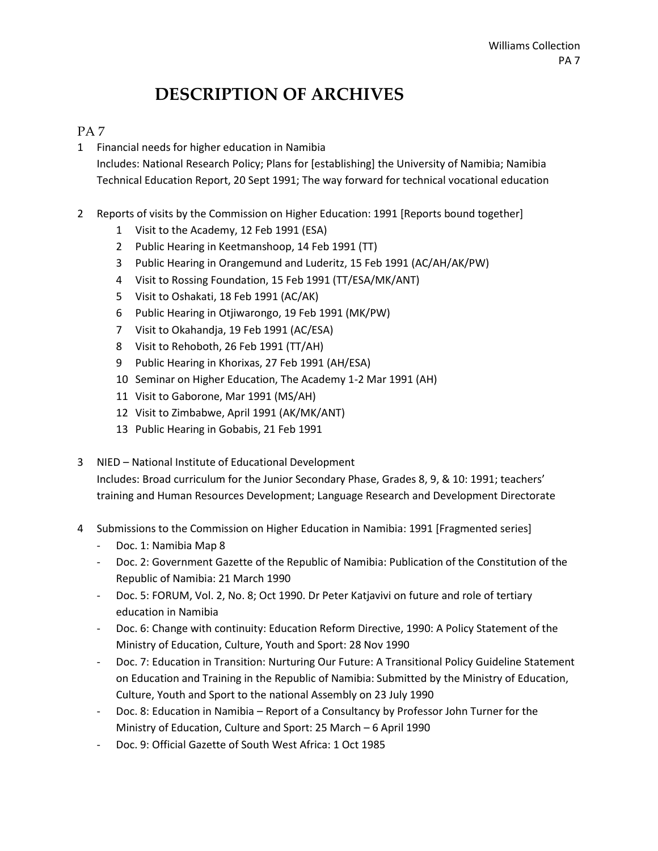# **DESCRIPTION OF ARCHIVES**

## PA 7

1 Financial needs for higher education in Namibia

Includes: National Research Policy; Plans for [establishing] the University of Namibia; Namibia Technical Education Report, 20 Sept 1991; The way forward for technical vocational education

- 2 Reports of visits by the Commission on Higher Education: 1991 [Reports bound together]
	- 1 Visit to the Academy, 12 Feb 1991 (ESA)
	- 2 Public Hearing in Keetmanshoop, 14 Feb 1991 (TT)
	- 3 Public Hearing in Orangemund and Luderitz, 15 Feb 1991 (AC/AH/AK/PW)
	- 4 Visit to Rossing Foundation, 15 Feb 1991 (TT/ESA/MK/ANT)
	- 5 Visit to Oshakati, 18 Feb 1991 (AC/AK)
	- 6 Public Hearing in Otjiwarongo, 19 Feb 1991 (MK/PW)
	- 7 Visit to Okahandja, 19 Feb 1991 (AC/ESA)
	- 8 Visit to Rehoboth, 26 Feb 1991 (TT/AH)
	- 9 Public Hearing in Khorixas, 27 Feb 1991 (AH/ESA)
	- 10 Seminar on Higher Education, The Academy 1-2 Mar 1991 (AH)
	- 11 Visit to Gaborone, Mar 1991 (MS/AH)
	- 12 Visit to Zimbabwe, April 1991 (AK/MK/ANT)
	- 13 Public Hearing in Gobabis, 21 Feb 1991
- 3 NIED National Institute of Educational Development Includes: Broad curriculum for the Junior Secondary Phase, Grades 8, 9, & 10: 1991; teachers' training and Human Resources Development; Language Research and Development Directorate
- 4 Submissions to the Commission on Higher Education in Namibia: 1991 [Fragmented series]
	- Doc. 1: Namibia Map 8
	- Doc. 2: Government Gazette of the Republic of Namibia: Publication of the Constitution of the Republic of Namibia: 21 March 1990
	- Doc. 5: FORUM, Vol. 2, No. 8; Oct 1990. Dr Peter Katjavivi on future and role of tertiary education in Namibia
	- Doc. 6: Change with continuity: Education Reform Directive, 1990: A Policy Statement of the Ministry of Education, Culture, Youth and Sport: 28 Nov 1990
	- Doc. 7: Education in Transition: Nurturing Our Future: A Transitional Policy Guideline Statement on Education and Training in the Republic of Namibia: Submitted by the Ministry of Education, Culture, Youth and Sport to the national Assembly on 23 July 1990
	- Doc. 8: Education in Namibia Report of a Consultancy by Professor John Turner for the Ministry of Education, Culture and Sport: 25 March – 6 April 1990
	- Doc. 9: Official Gazette of South West Africa: 1 Oct 1985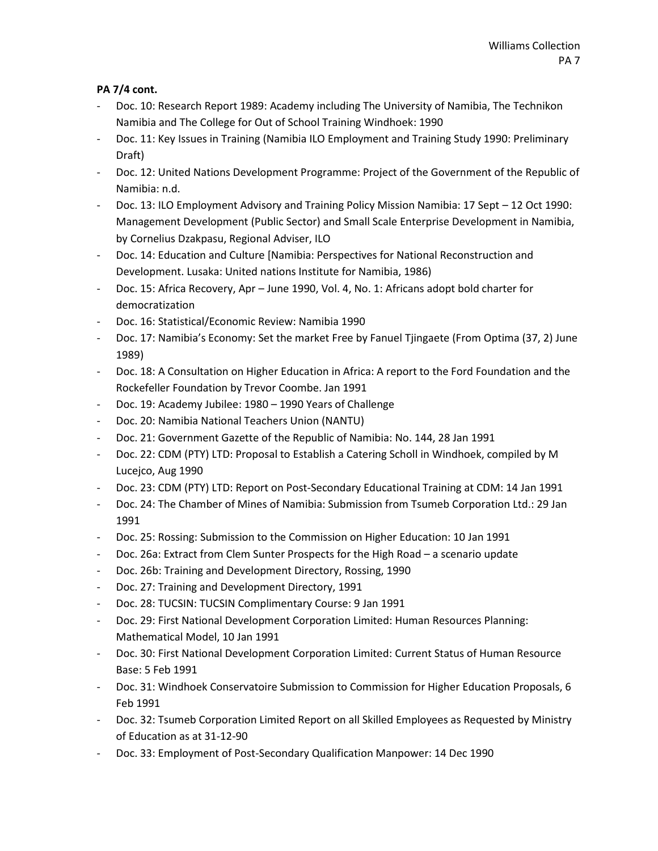- Doc. 10: Research Report 1989: Academy including The University of Namibia, The Technikon Namibia and The College for Out of School Training Windhoek: 1990
- Doc. 11: Key Issues in Training (Namibia ILO Employment and Training Study 1990: Preliminary Draft)
- Doc. 12: United Nations Development Programme: Project of the Government of the Republic of Namibia: n.d.
- Doc. 13: ILO Employment Advisory and Training Policy Mission Namibia: 17 Sept 12 Oct 1990: Management Development (Public Sector) and Small Scale Enterprise Development in Namibia, by Cornelius Dzakpasu, Regional Adviser, ILO
- Doc. 14: Education and Culture [Namibia: Perspectives for National Reconstruction and Development. Lusaka: United nations Institute for Namibia, 1986)
- Doc. 15: Africa Recovery, Apr June 1990, Vol. 4, No. 1: Africans adopt bold charter for democratization
- Doc. 16: Statistical/Economic Review: Namibia 1990
- Doc. 17: Namibia's Economy: Set the market Free by Fanuel Tjingaete (From Optima (37, 2) June 1989)
- Doc. 18: A Consultation on Higher Education in Africa: A report to the Ford Foundation and the Rockefeller Foundation by Trevor Coombe. Jan 1991
- Doc. 19: Academy Jubilee: 1980 1990 Years of Challenge
- Doc. 20: Namibia National Teachers Union (NANTU)
- Doc. 21: Government Gazette of the Republic of Namibia: No. 144, 28 Jan 1991
- Doc. 22: CDM (PTY) LTD: Proposal to Establish a Catering Scholl in Windhoek, compiled by M Lucejco, Aug 1990
- Doc. 23: CDM (PTY) LTD: Report on Post-Secondary Educational Training at CDM: 14 Jan 1991
- Doc. 24: The Chamber of Mines of Namibia: Submission from Tsumeb Corporation Ltd.: 29 Jan 1991
- Doc. 25: Rossing: Submission to the Commission on Higher Education: 10 Jan 1991
- Doc. 26a: Extract from Clem Sunter Prospects for the High Road a scenario update
- Doc. 26b: Training and Development Directory, Rossing, 1990
- Doc. 27: Training and Development Directory, 1991
- Doc. 28: TUCSIN: TUCSIN Complimentary Course: 9 Jan 1991
- Doc. 29: First National Development Corporation Limited: Human Resources Planning: Mathematical Model, 10 Jan 1991
- Doc. 30: First National Development Corporation Limited: Current Status of Human Resource Base: 5 Feb 1991
- Doc. 31: Windhoek Conservatoire Submission to Commission for Higher Education Proposals, 6 Feb 1991
- Doc. 32: Tsumeb Corporation Limited Report on all Skilled Employees as Requested by Ministry of Education as at 31-12-90
- Doc. 33: Employment of Post-Secondary Qualification Manpower: 14 Dec 1990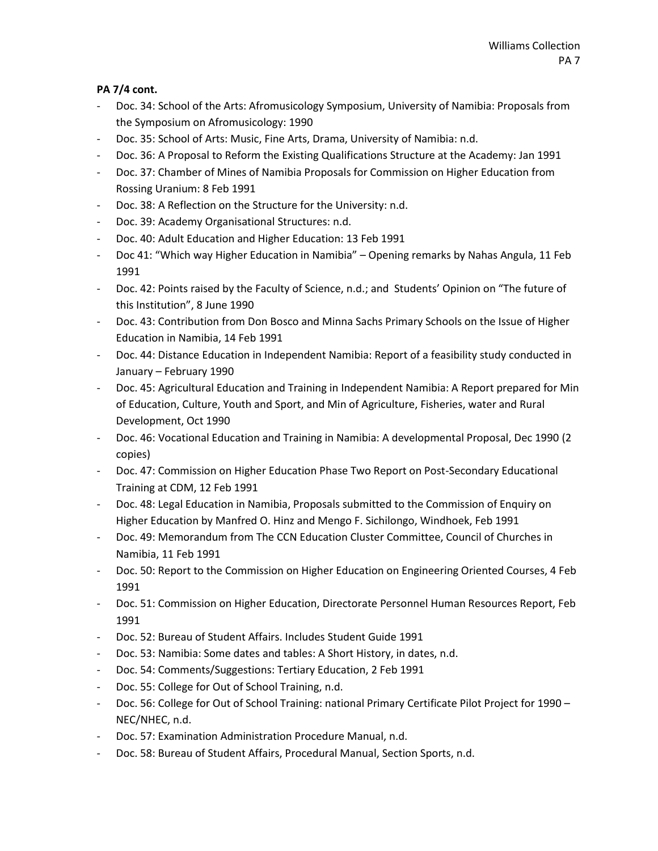- Doc. 34: School of the Arts: Afromusicology Symposium, University of Namibia: Proposals from the Symposium on Afromusicology: 1990
- Doc. 35: School of Arts: Music, Fine Arts, Drama, University of Namibia: n.d.
- Doc. 36: A Proposal to Reform the Existing Qualifications Structure at the Academy: Jan 1991
- Doc. 37: Chamber of Mines of Namibia Proposals for Commission on Higher Education from Rossing Uranium: 8 Feb 1991
- Doc. 38: A Reflection on the Structure for the University: n.d.
- Doc. 39: Academy Organisational Structures: n.d.
- Doc. 40: Adult Education and Higher Education: 13 Feb 1991
- Doc 41: "Which way Higher Education in Namibia" Opening remarks by Nahas Angula, 11 Feb 1991
- Doc. 42: Points raised by the Faculty of Science, n.d.; and Students' Opinion on "The future of this Institution", 8 June 1990
- Doc. 43: Contribution from Don Bosco and Minna Sachs Primary Schools on the Issue of Higher Education in Namibia, 14 Feb 1991
- Doc. 44: Distance Education in Independent Namibia: Report of a feasibility study conducted in January – February 1990
- Doc. 45: Agricultural Education and Training in Independent Namibia: A Report prepared for Min of Education, Culture, Youth and Sport, and Min of Agriculture, Fisheries, water and Rural Development, Oct 1990
- Doc. 46: Vocational Education and Training in Namibia: A developmental Proposal, Dec 1990 (2 copies)
- Doc. 47: Commission on Higher Education Phase Two Report on Post-Secondary Educational Training at CDM, 12 Feb 1991
- Doc. 48: Legal Education in Namibia, Proposals submitted to the Commission of Enquiry on Higher Education by Manfred O. Hinz and Mengo F. Sichilongo, Windhoek, Feb 1991
- Doc. 49: Memorandum from The CCN Education Cluster Committee, Council of Churches in Namibia, 11 Feb 1991
- Doc. 50: Report to the Commission on Higher Education on Engineering Oriented Courses, 4 Feb 1991
- Doc. 51: Commission on Higher Education, Directorate Personnel Human Resources Report, Feb 1991
- Doc. 52: Bureau of Student Affairs. Includes Student Guide 1991
- Doc. 53: Namibia: Some dates and tables: A Short History, in dates, n.d.
- Doc. 54: Comments/Suggestions: Tertiary Education, 2 Feb 1991
- Doc. 55: College for Out of School Training, n.d.
- Doc. 56: College for Out of School Training: national Primary Certificate Pilot Project for 1990 NEC/NHEC, n.d.
- Doc. 57: Examination Administration Procedure Manual, n.d.
- Doc. 58: Bureau of Student Affairs, Procedural Manual, Section Sports, n.d.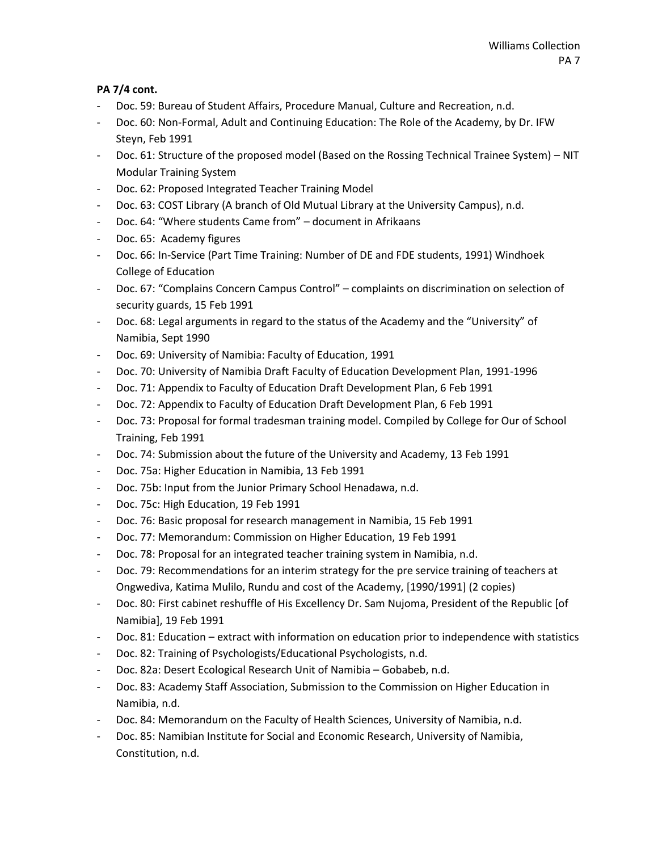- Doc. 59: Bureau of Student Affairs, Procedure Manual, Culture and Recreation, n.d.
- Doc. 60: Non-Formal, Adult and Continuing Education: The Role of the Academy, by Dr. IFW Steyn, Feb 1991
- Doc. 61: Structure of the proposed model (Based on the Rossing Technical Trainee System) NIT Modular Training System
- Doc. 62: Proposed Integrated Teacher Training Model
- Doc. 63: COST Library (A branch of Old Mutual Library at the University Campus), n.d.
- Doc. 64: "Where students Came from" document in Afrikaans
- Doc. 65: Academy figures
- Doc. 66: In-Service (Part Time Training: Number of DE and FDE students, 1991) Windhoek College of Education
- Doc. 67: "Complains Concern Campus Control" complaints on discrimination on selection of security guards, 15 Feb 1991
- Doc. 68: Legal arguments in regard to the status of the Academy and the "University" of Namibia, Sept 1990
- Doc. 69: University of Namibia: Faculty of Education, 1991
- Doc. 70: University of Namibia Draft Faculty of Education Development Plan, 1991-1996
- Doc. 71: Appendix to Faculty of Education Draft Development Plan, 6 Feb 1991
- Doc. 72: Appendix to Faculty of Education Draft Development Plan, 6 Feb 1991
- Doc. 73: Proposal for formal tradesman training model. Compiled by College for Our of School Training, Feb 1991
- Doc. 74: Submission about the future of the University and Academy, 13 Feb 1991
- Doc. 75a: Higher Education in Namibia, 13 Feb 1991
- Doc. 75b: Input from the Junior Primary School Henadawa, n.d.
- Doc. 75c: High Education, 19 Feb 1991
- Doc. 76: Basic proposal for research management in Namibia, 15 Feb 1991
- Doc. 77: Memorandum: Commission on Higher Education, 19 Feb 1991
- Doc. 78: Proposal for an integrated teacher training system in Namibia, n.d.
- Doc. 79: Recommendations for an interim strategy for the pre service training of teachers at Ongwediva, Katima Mulilo, Rundu and cost of the Academy, [1990/1991] (2 copies)
- Doc. 80: First cabinet reshuffle of His Excellency Dr. Sam Nujoma, President of the Republic [of Namibia], 19 Feb 1991
- Doc. 81: Education extract with information on education prior to independence with statistics
- Doc. 82: Training of Psychologists/Educational Psychologists, n.d.
- Doc. 82a: Desert Ecological Research Unit of Namibia Gobabeb, n.d.
- Doc. 83: Academy Staff Association, Submission to the Commission on Higher Education in Namibia, n.d.
- Doc. 84: Memorandum on the Faculty of Health Sciences, University of Namibia, n.d.
- Doc. 85: Namibian Institute for Social and Economic Research, University of Namibia, Constitution, n.d.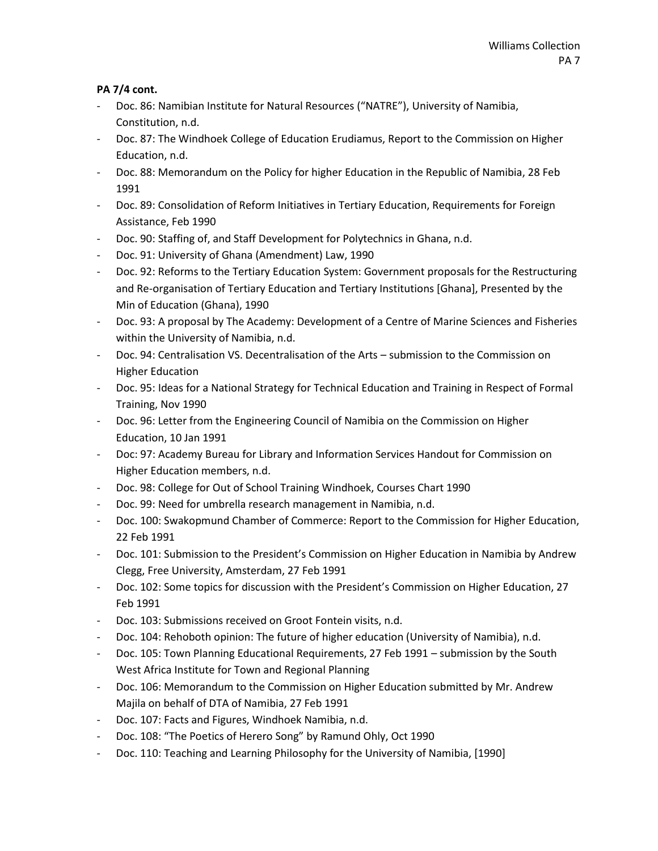- Doc. 86: Namibian Institute for Natural Resources ("NATRE"), University of Namibia, Constitution, n.d.
- Doc. 87: The Windhoek College of Education Erudiamus, Report to the Commission on Higher Education, n.d.
- Doc. 88: Memorandum on the Policy for higher Education in the Republic of Namibia, 28 Feb 1991
- Doc. 89: Consolidation of Reform Initiatives in Tertiary Education, Requirements for Foreign Assistance, Feb 1990
- Doc. 90: Staffing of, and Staff Development for Polytechnics in Ghana, n.d.
- Doc. 91: University of Ghana (Amendment) Law, 1990
- Doc. 92: Reforms to the Tertiary Education System: Government proposals for the Restructuring and Re-organisation of Tertiary Education and Tertiary Institutions [Ghana], Presented by the Min of Education (Ghana), 1990
- Doc. 93: A proposal by The Academy: Development of a Centre of Marine Sciences and Fisheries within the University of Namibia, n.d.
- Doc. 94: Centralisation VS. Decentralisation of the Arts submission to the Commission on Higher Education
- Doc. 95: Ideas for a National Strategy for Technical Education and Training in Respect of Formal Training, Nov 1990
- Doc. 96: Letter from the Engineering Council of Namibia on the Commission on Higher Education, 10 Jan 1991
- Doc: 97: Academy Bureau for Library and Information Services Handout for Commission on Higher Education members, n.d.
- Doc. 98: College for Out of School Training Windhoek, Courses Chart 1990
- Doc. 99: Need for umbrella research management in Namibia, n.d.
- Doc. 100: Swakopmund Chamber of Commerce: Report to the Commission for Higher Education, 22 Feb 1991
- Doc. 101: Submission to the President's Commission on Higher Education in Namibia by Andrew Clegg, Free University, Amsterdam, 27 Feb 1991
- Doc. 102: Some topics for discussion with the President's Commission on Higher Education, 27 Feb 1991
- Doc. 103: Submissions received on Groot Fontein visits, n.d.
- Doc. 104: Rehoboth opinion: The future of higher education (University of Namibia), n.d.
- Doc. 105: Town Planning Educational Requirements, 27 Feb 1991 submission by the South West Africa Institute for Town and Regional Planning
- Doc. 106: Memorandum to the Commission on Higher Education submitted by Mr. Andrew Majila on behalf of DTA of Namibia, 27 Feb 1991
- Doc. 107: Facts and Figures, Windhoek Namibia, n.d.
- Doc. 108: "The Poetics of Herero Song" by Ramund Ohly, Oct 1990
- Doc. 110: Teaching and Learning Philosophy for the University of Namibia, [1990]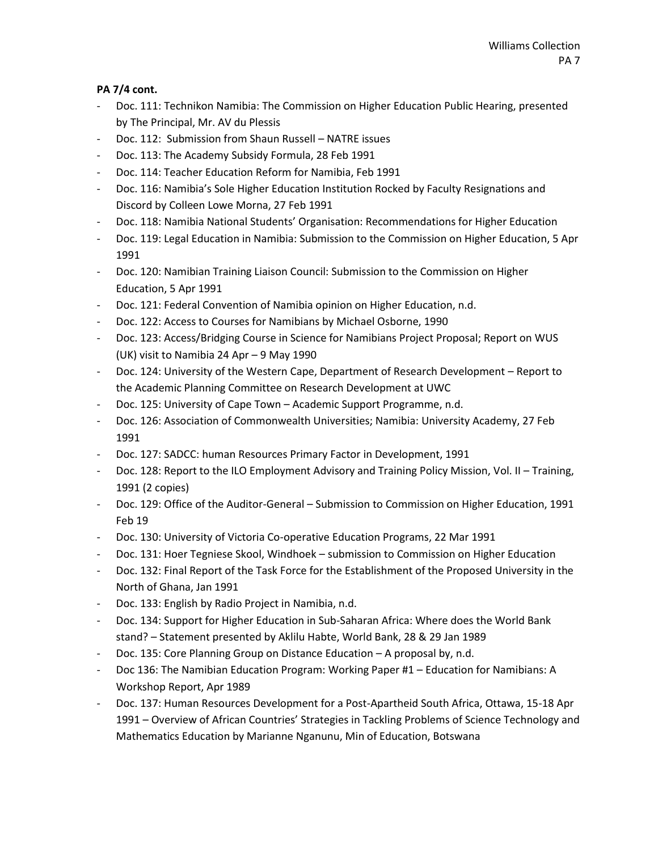- Doc. 111: Technikon Namibia: The Commission on Higher Education Public Hearing, presented by The Principal, Mr. AV du Plessis
- Doc. 112: Submission from Shaun Russell NATRE issues
- Doc. 113: The Academy Subsidy Formula, 28 Feb 1991
- Doc. 114: Teacher Education Reform for Namibia, Feb 1991
- Doc. 116: Namibia's Sole Higher Education Institution Rocked by Faculty Resignations and Discord by Colleen Lowe Morna, 27 Feb 1991
- Doc. 118: Namibia National Students' Organisation: Recommendations for Higher Education
- Doc. 119: Legal Education in Namibia: Submission to the Commission on Higher Education, 5 Apr 1991
- Doc. 120: Namibian Training Liaison Council: Submission to the Commission on Higher Education, 5 Apr 1991
- Doc. 121: Federal Convention of Namibia opinion on Higher Education, n.d.
- Doc. 122: Access to Courses for Namibians by Michael Osborne, 1990
- Doc. 123: Access/Bridging Course in Science for Namibians Project Proposal; Report on WUS (UK) visit to Namibia 24 Apr – 9 May 1990
- Doc. 124: University of the Western Cape, Department of Research Development Report to the Academic Planning Committee on Research Development at UWC
- Doc. 125: University of Cape Town Academic Support Programme, n.d.
- Doc. 126: Association of Commonwealth Universities; Namibia: University Academy, 27 Feb 1991
- Doc. 127: SADCC: human Resources Primary Factor in Development, 1991
- Doc. 128: Report to the ILO Employment Advisory and Training Policy Mission, Vol. II Training, 1991 (2 copies)
- Doc. 129: Office of the Auditor-General Submission to Commission on Higher Education, 1991 Feb 19
- Doc. 130: University of Victoria Co-operative Education Programs, 22 Mar 1991
- Doc. 131: Hoer Tegniese Skool, Windhoek submission to Commission on Higher Education
- Doc. 132: Final Report of the Task Force for the Establishment of the Proposed University in the North of Ghana, Jan 1991
- Doc. 133: English by Radio Project in Namibia, n.d.
- Doc. 134: Support for Higher Education in Sub-Saharan Africa: Where does the World Bank stand? – Statement presented by Aklilu Habte, World Bank, 28 & 29 Jan 1989
- Doc. 135: Core Planning Group on Distance Education A proposal by, n.d.
- Doc 136: The Namibian Education Program: Working Paper #1 Education for Namibians: A Workshop Report, Apr 1989
- Doc. 137: Human Resources Development for a Post-Apartheid South Africa, Ottawa, 15-18 Apr 1991 – Overview of African Countries' Strategies in Tackling Problems of Science Technology and Mathematics Education by Marianne Nganunu, Min of Education, Botswana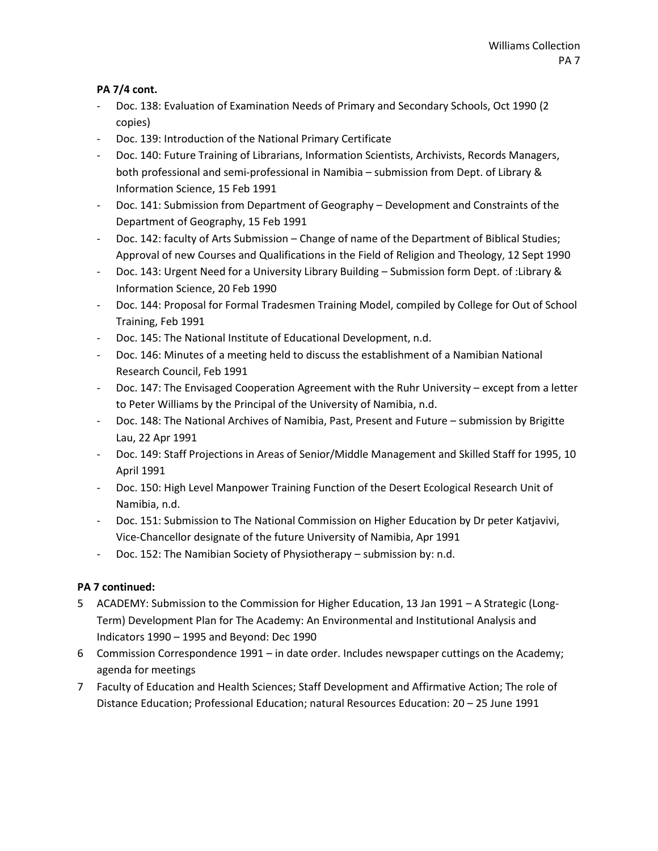- Doc. 138: Evaluation of Examination Needs of Primary and Secondary Schools, Oct 1990 (2 copies)
- Doc. 139: Introduction of the National Primary Certificate
- Doc. 140: Future Training of Librarians, Information Scientists, Archivists, Records Managers, both professional and semi-professional in Namibia – submission from Dept. of Library & Information Science, 15 Feb 1991
- Doc. 141: Submission from Department of Geography Development and Constraints of the Department of Geography, 15 Feb 1991
- Doc. 142: faculty of Arts Submission Change of name of the Department of Biblical Studies; Approval of new Courses and Qualifications in the Field of Religion and Theology, 12 Sept 1990
- Doc. 143: Urgent Need for a University Library Building Submission form Dept. of :Library & Information Science, 20 Feb 1990
- Doc. 144: Proposal for Formal Tradesmen Training Model, compiled by College for Out of School Training, Feb 1991
- Doc. 145: The National Institute of Educational Development, n.d.
- Doc. 146: Minutes of a meeting held to discuss the establishment of a Namibian National Research Council, Feb 1991
- Doc. 147: The Envisaged Cooperation Agreement with the Ruhr University except from a letter to Peter Williams by the Principal of the University of Namibia, n.d.
- Doc. 148: The National Archives of Namibia, Past, Present and Future submission by Brigitte Lau, 22 Apr 1991
- Doc. 149: Staff Projections in Areas of Senior/Middle Management and Skilled Staff for 1995, 10 April 1991
- Doc. 150: High Level Manpower Training Function of the Desert Ecological Research Unit of Namibia, n.d.
- Doc. 151: Submission to The National Commission on Higher Education by Dr peter Katjavivi, Vice-Chancellor designate of the future University of Namibia, Apr 1991
- Doc. 152: The Namibian Society of Physiotherapy submission by: n.d.

#### **PA 7 continued:**

- 5 ACADEMY: Submission to the Commission for Higher Education, 13 Jan 1991 A Strategic (Long-Term) Development Plan for The Academy: An Environmental and Institutional Analysis and Indicators 1990 – 1995 and Beyond: Dec 1990
- 6 Commission Correspondence 1991 in date order. Includes newspaper cuttings on the Academy; agenda for meetings
- 7 Faculty of Education and Health Sciences; Staff Development and Affirmative Action; The role of Distance Education; Professional Education; natural Resources Education: 20 – 25 June 1991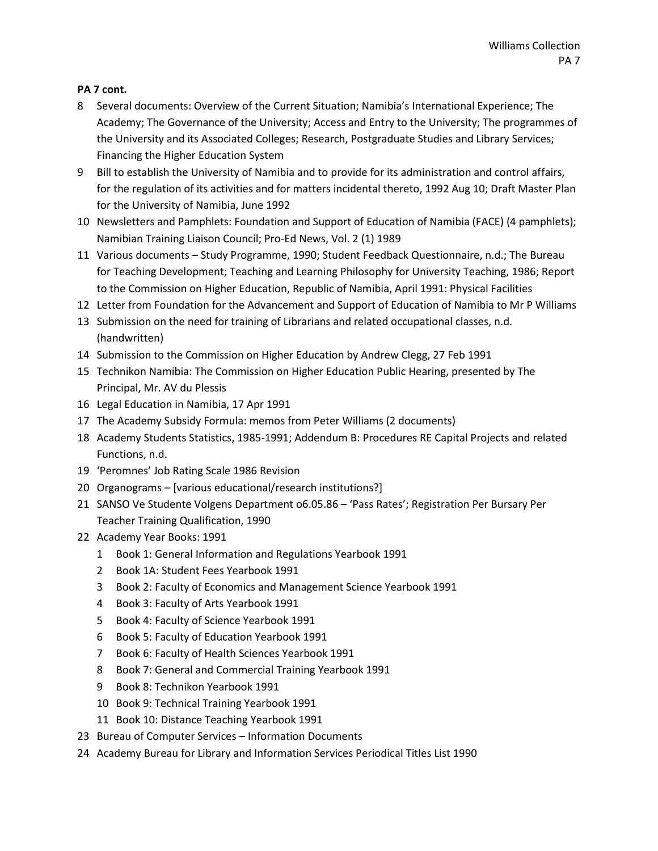- Several documents: Overview of the Current Situation; Namibia's International Experience; The Academy; The Governance of the University; Access and Entry to the University; The programmes of the University and its Associated Colleges; Research, Postgraduate Studies and Library Services; Financing the Higher Education System
- Bill to establish the University of Namibia and to provide for its administration and control affairs, for the regulation of its activities and for matters incidental thereto, 1992 Aug 10; Draft Master Plan for the University of Namibia, June 1992
- Newsletters and Pamphlets: Foundation and Support of Education of Namibia (FACE) (4 pamphlets); Namibian Training Liaison Council; Pro-Ed News, Vol. 2 (1) 1989
- Various documents Study Programme, 1990; Student Feedback Questionnaire, n.d.; The Bureau for Teaching Development; Teaching and Learning Philosophy for University Teaching, 1986; Report to the Commission on Higher Education, Republic of Namibia, April 1991: Physical Facilities
- Letter from Foundation for the Advancement and Support of Education of Namibia to Mr P Williams
- Submission on the need for training of Librarians and related occupational classes, n.d. (handwritten)
- Submission to the Commission on Higher Education by Andrew Clegg, 27 Feb 1991
- Technikon Namibia: The Commission on Higher Education Public Hearing, presented by The Principal, Mr. AV du Plessis
- Legal Education in Namibia, 17 Apr 1991
- The Academy Subsidy Formula: memos from Peter Williams (2 documents)
- Academy Students Statistics, 1985-1991; Addendum B: Procedures RE Capital Projects and related Functions, n.d.
- 'Peromnes' Job Rating Scale 1986 Revision
- Organograms [various educational/research institutions?]
- SANSO Ve Studente Volgens Department o6.05.86 'Pass Rates'; Registration Per Bursary Per Teacher Training Qualification, 1990
- Academy Year Books: 1991
	- Book 1: General Information and Regulations Yearbook 1991
	- Book 1A: Student Fees Yearbook 1991
	- Book 2: Faculty of Economics and Management Science Yearbook 1991
	- Book 3: Faculty of Arts Yearbook 1991
	- Book 4: Faculty of Science Yearbook 1991
	- Book 5: Faculty of Education Yearbook 1991
	- Book 6: Faculty of Health Sciences Yearbook 1991
	- Book 7: General and Commercial Training Yearbook 1991
	- Book 8: Technikon Yearbook 1991
	- Book 9: Technical Training Yearbook 1991
	- Book 10: Distance Teaching Yearbook 1991
- Bureau of Computer Services Information Documents
- Academy Bureau for Library and Information Services Periodical Titles List 1990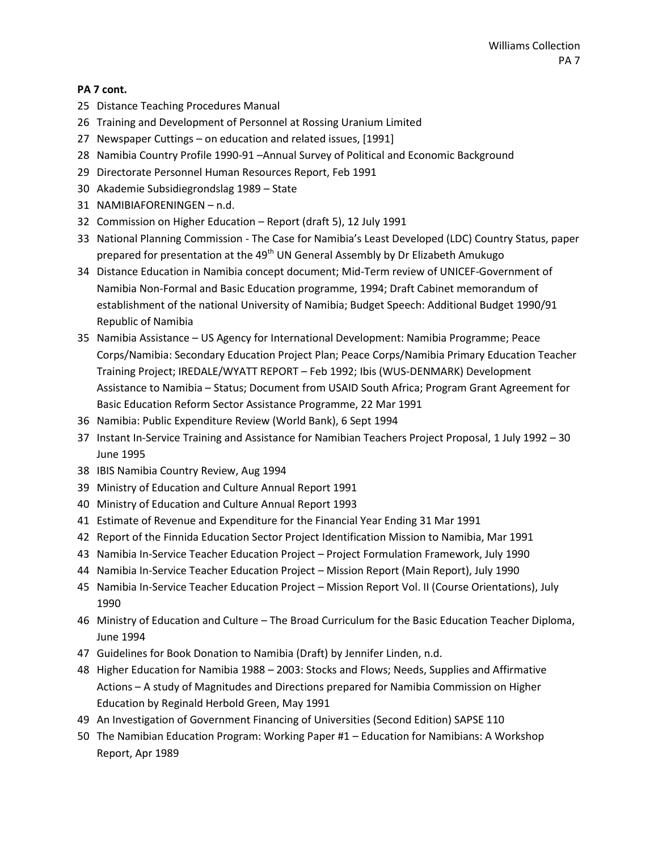- Distance Teaching Procedures Manual
- Training and Development of Personnel at Rossing Uranium Limited
- Newspaper Cuttings on education and related issues, [1991]
- Namibia Country Profile 1990-91 –Annual Survey of Political and Economic Background
- Directorate Personnel Human Resources Report, Feb 1991
- Akademie Subsidiegrondslag 1989 State
- NAMIBIAFORENINGEN n.d.
- Commission on Higher Education Report (draft 5), 12 July 1991
- National Planning Commission The Case for Namibia's Least Developed (LDC) Country Status, paper prepared for presentation at the 49<sup>th</sup> UN General Assembly by Dr Elizabeth Amukugo
- Distance Education in Namibia concept document; Mid-Term review of UNICEF-Government of Namibia Non-Formal and Basic Education programme, 1994; Draft Cabinet memorandum of establishment of the national University of Namibia; Budget Speech: Additional Budget 1990/91 Republic of Namibia
- Namibia Assistance US Agency for International Development: Namibia Programme; Peace Corps/Namibia: Secondary Education Project Plan; Peace Corps/Namibia Primary Education Teacher Training Project; IREDALE/WYATT REPORT – Feb 1992; Ibis (WUS-DENMARK) Development Assistance to Namibia – Status; Document from USAID South Africa; Program Grant Agreement for Basic Education Reform Sector Assistance Programme, 22 Mar 1991
- Namibia: Public Expenditure Review (World Bank), 6 Sept 1994
- Instant In-Service Training and Assistance for Namibian Teachers Project Proposal, 1 July 1992 30 June 1995
- IBIS Namibia Country Review, Aug 1994
- Ministry of Education and Culture Annual Report 1991
- Ministry of Education and Culture Annual Report 1993
- Estimate of Revenue and Expenditure for the Financial Year Ending 31 Mar 1991
- Report of the Finnida Education Sector Project Identification Mission to Namibia, Mar 1991
- Namibia In-Service Teacher Education Project Project Formulation Framework, July 1990
- Namibia In-Service Teacher Education Project Mission Report (Main Report), July 1990
- Namibia In-Service Teacher Education Project Mission Report Vol. II (Course Orientations), July
- Ministry of Education and Culture The Broad Curriculum for the Basic Education Teacher Diploma, June 1994
- Guidelines for Book Donation to Namibia (Draft) by Jennifer Linden, n.d.
- Higher Education for Namibia 1988 2003: Stocks and Flows; Needs, Supplies and Affirmative Actions – A study of Magnitudes and Directions prepared for Namibia Commission on Higher Education by Reginald Herbold Green, May 1991
- An Investigation of Government Financing of Universities (Second Edition) SAPSE 110
- The Namibian Education Program: Working Paper #1 Education for Namibians: A Workshop Report, Apr 1989